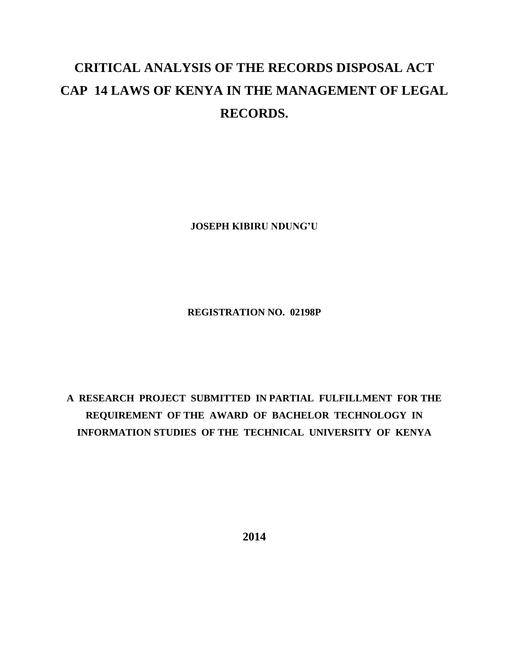## **CRITICAL ANALYSIS OF THE RECORDS DISPOSAL ACT CAP 14 LAWS OF KENYA IN THE MANAGEMENT OF LEGAL RECORDS.**

**JOSEPH KIBIRU NDUNG'U**

**REGISTRATION NO. 02198P**

**A RESEARCH PROJECT SUBMITTED IN PARTIAL FULFILLMENT FOR THE REQUIREMENT OF THE AWARD OF BACHELOR TECHNOLOGY IN INFORMATION STUDIES OF THE TECHNICAL UNIVERSITY OF KENYA**

**2014**